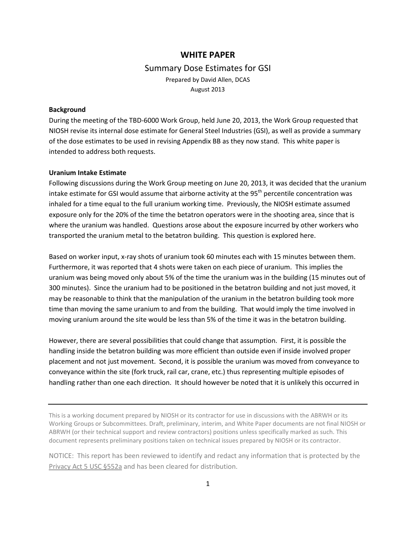# **WHITE PAPER** Summary Dose Estimates for GSI Prepared by David Allen, DCAS August 2013

### **Background**

During the meeting of the TBD-6000 Work Group, held June 20, 2013, the Work Group requested that NIOSH revise its internal dose estimate for General Steel Industries (GSI), as well as provide a summary of the dose estimates to be used in revising Appendix BB as they now stand. This white paper is intended to address both requests.

#### **Uranium Intake Estimate**

Following discussions during the Work Group meeting on June 20, 2013, it was decided that the uranium intake estimate for GSI would assume that airborne activity at the  $95<sup>th</sup>$  percentile concentration was inhaled for a time equal to the full uranium working time. Previously, the NIOSH estimate assumed exposure only for the 20% of the time the betatron operators were in the shooting area, since that is where the uranium was handled. Questions arose about the exposure incurred by other workers who transported the uranium metal to the betatron building. This question is explored here.

Based on worker input, x-ray shots of uranium took 60 minutes each with 15 minutes between them. Furthermore, it was reported that 4 shots were taken on each piece of uranium. This implies the uranium was being moved only about 5% of the time the uranium was in the building (15 minutes out of 300 minutes). Since the uranium had to be positioned in the betatron building and not just moved, it may be reasonable to think that the manipulation of the uranium in the betatron building took more time than moving the same uranium to and from the building. That would imply the time involved in moving uranium around the site would be less than 5% of the time it was in the betatron building.

However, there are several possibilities that could change that assumption. First, it is possible the handling inside the betatron building was more efficient than outside even if inside involved proper placement and not just movement. Second, it is possible the uranium was moved from conveyance to conveyance within the site (fork truck, rail car, crane, etc.) thus representing multiple episodes of handling rather than one each direction. It should however be noted that it is unlikely this occurred in

This is a working document prepared by NIOSH or its contractor for use in discussions with the ABRWH or its Working Groups or Subcommittees. Draft, preliminary, interim, and White Paper documents are not final NIOSH or ABRWH (or their technical support and review contractors) positions unless specifically marked as such. This document represents preliminary positions taken on technical issues prepared by NIOSH or its contractor.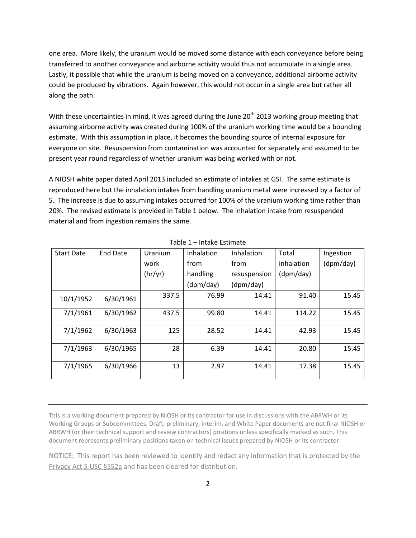one area. More likely, the uranium would be moved some distance with each conveyance before being transferred to another conveyance and airborne activity would thus not accumulate in a single area. Lastly, it possible that while the uranium is being moved on a conveyance, additional airborne activity could be produced by vibrations. Again however, this would not occur in a single area but rather all along the path.

With these uncertainties in mind, it was agreed during the June  $20<sup>th</sup>$  2013 working group meeting that assuming airborne activity was created during 100% of the uranium working time would be a bounding estimate. With this assumption in place, it becomes the bounding source of internal exposure for everyone on site. Resuspension from contamination was accounted for separately and assumed to be present year round regardless of whether uranium was being worked with or not.

A NIOSH white paper dated April 2013 included an estimate of intakes at GSI. The same estimate is reproduced here but the inhalation intakes from handling uranium metal were increased by a factor of 5. The increase is due to assuming intakes occurred for 100% of the uranium working time rather than 20%. The revised estimate is provided in Table 1 below. The inhalation intake from resuspended material and from ingestion remains the same.

| <b>Start Date</b> | <b>End Date</b> | Uranium | Inhalation | Inhalation   | Total      | Ingestion |
|-------------------|-----------------|---------|------------|--------------|------------|-----------|
|                   |                 | work    | from       | from         | inhalation | (dpm/day) |
|                   |                 | (hr/yr) | handling   | resuspension | (dpm/day)  |           |
|                   |                 |         | (dpm/day)  | (dpm/day)    |            |           |
| 10/1/1952         | 6/30/1961       | 337.5   | 76.99      | 14.41        | 91.40      | 15.45     |
| 7/1/1961          | 6/30/1962       | 437.5   | 99.80      | 14.41        | 114.22     | 15.45     |
| 7/1/1962          | 6/30/1963       | 125     | 28.52      | 14.41        | 42.93      | 15.45     |
| 7/1/1963          | 6/30/1965       | 28      | 6.39       | 14.41        | 20.80      | 15.45     |
| 7/1/1965          | 6/30/1966       | 13      | 2.97       | 14.41        | 17.38      | 15.45     |

Table 1 – Intake Estimate

This is a working document prepared by NIOSH or its contractor for use in discussions with the ABRWH or its Working Groups or Subcommittees. Draft, preliminary, interim, and White Paper documents are not final NIOSH or ABRWH (or their technical support and review contractors) positions unless specifically marked as such. This document represents preliminary positions taken on technical issues prepared by NIOSH or its contractor.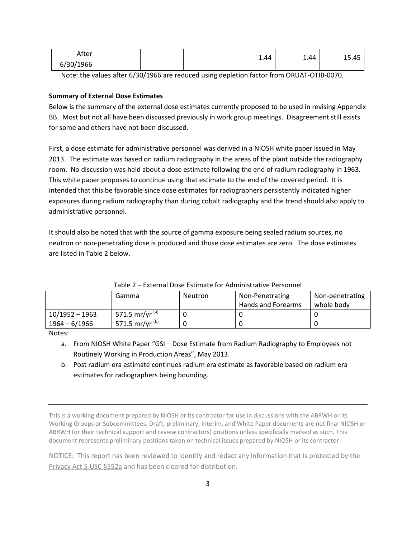| After     |  | 1.44 | 1.44 | 15.45 |
|-----------|--|------|------|-------|
| 6/30/1966 |  |      |      |       |

Note: the values after 6/30/1966 are reduced using depletion factor from ORUAT-OTIB-0070.

## **Summary of External Dose Estimates**

Below is the summary of the external dose estimates currently proposed to be used in revising Appendix BB. Most but not all have been discussed previously in work group meetings. Disagreement still exists for some and others have not been discussed.

First, a dose estimate for administrative personnel was derived in a NIOSH white paper issued in May 2013. The estimate was based on radium radiography in the areas of the plant outside the radiography room. No discussion was held about a dose estimate following the end of radium radiography in 1963. This white paper proposes to continue using that estimate to the end of the covered period. It is intended that this be favorable since dose estimates for radiographers persistently indicated higher exposures during radium radiography than during cobalt radiography and the trend should also apply to administrative personnel.

It should also be noted that with the source of gamma exposure being sealed radium sources, no neutron or non-penetrating dose is produced and those dose estimates are zero. The dose estimates are listed in Table 2 below.

|                  | Gamma                     | <b>Neutron</b> | Non-Penetrating<br>Hands and Forearms | Non-penetrating<br>whole body |
|------------------|---------------------------|----------------|---------------------------------------|-------------------------------|
| $10/1952 - 1963$ | 571.5 mr/yr $\frac{1}{2}$ |                |                                       |                               |
| 1964 – 6/1966    | 571.5 mr/yr $(b)$         |                |                                       |                               |

Table 2 – External Dose Estimate for Administrative Personnel

Notes:

a. From NIOSH White Paper "GSI – Dose Estimate from Radium Radiography to Employees not Routinely Working in Production Areas", May 2013.

b. Post radium era estimate continues radium era estimate as favorable based on radium era estimates for radiographers being bounding.

This is a working document prepared by NIOSH or its contractor for use in discussions with the ABRWH or its Working Groups or Subcommittees. Draft, preliminary, interim, and White Paper documents are not final NIOSH or ABRWH (or their technical support and review contractors) positions unless specifically marked as such. This document represents preliminary positions taken on technical issues prepared by NIOSH or its contractor.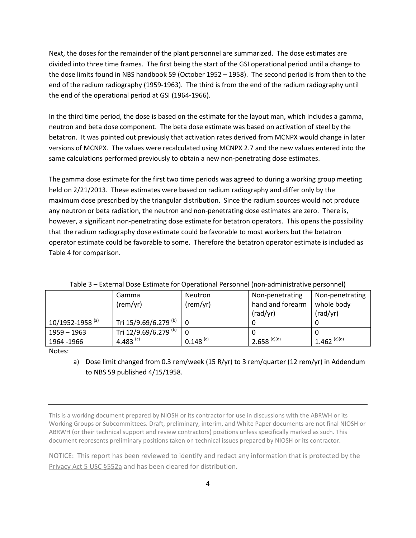Next, the doses for the remainder of the plant personnel are summarized. The dose estimates are divided into three time frames. The first being the start of the GSI operational period until a change to the dose limits found in NBS handbook 59 (October 1952 – 1958). The second period is from then to the end of the radium radiography (1959-1963). The third is from the end of the radium radiography until the end of the operational period at GSI (1964-1966).

In the third time period, the dose is based on the estimate for the layout man, which includes a gamma, neutron and beta dose component. The beta dose estimate was based on activation of steel by the betatron. It was pointed out previously that activation rates derived from MCNPX would change in later versions of MCNPX. The values were recalculated using MCNPX 2.7 and the new values entered into the same calculations performed previously to obtain a new non-penetrating dose estimates.

The gamma dose estimate for the first two time periods was agreed to during a working group meeting held on 2/21/2013. These estimates were based on radium radiography and differ only by the maximum dose prescribed by the triangular distribution. Since the radium sources would not produce any neutron or beta radiation, the neutron and non-penetrating dose estimates are zero. There is, however, a significant non-penetrating dose estimate for betatron operators. This opens the possibility that the radium radiography dose estimate could be favorable to most workers but the betatron operator estimate could be favorable to some. Therefore the betatron operator estimate is included as Table 4 for comparison.

|                             | Gamma                 | Neutron                | Non-penetrating           | Non-penetrating  |  |  |
|-----------------------------|-----------------------|------------------------|---------------------------|------------------|--|--|
|                             | (rem/yr)              | (rem/yr)               | hand and forearm          | whole body       |  |  |
|                             |                       |                        | (rad/yr)                  | (rad/yr)         |  |  |
| 10/1952-1958 <sup>(a)</sup> | Tri 15/9.69/6.279 (b) | 0                      |                           |                  |  |  |
| 1959 – 1963                 | Tri 12/9.69/6.279 (b) | 0                      |                           |                  |  |  |
| 1964 - 1966                 | 4.483 <sup>(c)</sup>  | $0.148$ <sup>(c)</sup> | $2.658$ <sup>(c)(d)</sup> | $1.462^{(c)(d)}$ |  |  |

Table 3 – External Dose Estimate for Operational Personnel (non-administrative personnel)

Notes:

a) Dose limit changed from 0.3 rem/week (15 R/yr) to 3 rem/quarter (12 rem/yr) in Addendum to NBS 59 published 4/15/1958.

This is a working document prepared by NIOSH or its contractor for use in discussions with the ABRWH or its Working Groups or Subcommittees. Draft, preliminary, interim, and White Paper documents are not final NIOSH or ABRWH (or their technical support and review contractors) positions unless specifically marked as such. This document represents preliminary positions taken on technical issues prepared by NIOSH or its contractor.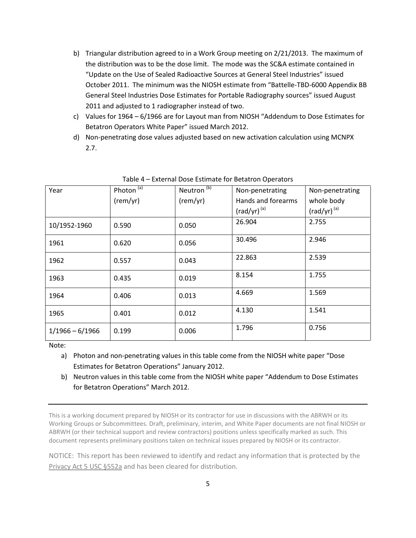- b) Triangular distribution agreed to in a Work Group meeting on 2/21/2013. The maximum of the distribution was to be the dose limit. The mode was the SC&A estimate contained in "Update on the Use of Sealed Radioactive Sources at General Steel Industries" issued October 2011. The minimum was the NIOSH estimate from "Battelle-TBD-6000 Appendix BB General Steel Industries Dose Estimates for Portable Radiography sources" issued August 2011 and adjusted to 1 radiographer instead of two.
- c) Values for 1964 6/1966 are for Layout man from NIOSH "Addendum to Dose Estimates for Betatron Operators White Paper" issued March 2012.
- d) Non-penetrating dose values adjusted based on new activation calculation using MCNPX 2.7.

| Year              | Photon <sup>(a)</sup> | Neutron <sup>(b)</sup> | Non-penetrating    | Non-penetrating  |
|-------------------|-----------------------|------------------------|--------------------|------------------|
|                   | (rem/yr)              | (rem/yr)               | Hands and forearms | whole body       |
|                   |                       |                        | $(rad/yr)^{(a)}$   | $(rad/yr)^{(a)}$ |
| 10/1952-1960      | 0.590                 | 0.050                  | 26.904             | 2.755            |
| 1961              | 0.620                 | 0.056                  | 30.496             | 2.946            |
| 1962              | 0.557                 | 0.043                  | 22.863             | 2.539            |
| 1963              | 0.435                 | 0.019                  | 8.154              | 1.755            |
| 1964              | 0.406                 | 0.013                  | 4.669              | 1.569            |
| 1965              | 0.401                 | 0.012                  | 4.130              | 1.541            |
| $1/1966 - 6/1966$ | 0.199                 | 0.006                  | 1.796              | 0.756            |

## Table 4 – External Dose Estimate for Betatron Operators

Note:

a) Photon and non-penetrating values in this table come from the NIOSH white paper "Dose Estimates for Betatron Operations" January 2012.

b) Neutron values in this table come from the NIOSH white paper "Addendum to Dose Estimates for Betatron Operations" March 2012.

This is a working document prepared by NIOSH or its contractor for use in discussions with the ABRWH or its Working Groups or Subcommittees. Draft, preliminary, interim, and White Paper documents are not final NIOSH or ABRWH (or their technical support and review contractors) positions unless specifically marked as such. This document represents preliminary positions taken on technical issues prepared by NIOSH or its contractor.